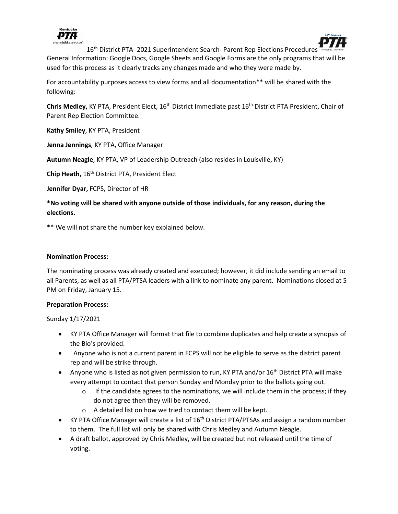



16<sup>th</sup> District PTA- 2021 Superintendent Search- Parent Rep Elections Procedures General Information: Google Docs, Google Sheets and Google Forms are the only programs that will be used for this process as it clearly tracks any changes made and who they were made by.

For accountability purposes access to view forms and all documentation\*\* will be shared with the following:

**Chris Medley,** KY PTA, President Elect, 16th District Immediate past 16th District PTA President, Chair of Parent Rep Election Committee.

**Kathy Smiley**, KY PTA, President

**Jenna Jennings**, KY PTA, Office Manager

**Autumn Neagle**, KY PTA, VP of Leadership Outreach (also resides in Louisville, KY)

Chip Heath, 16<sup>th</sup> District PTA, President Elect

**Jennifer Dyar,** FCPS, Director of HR

**\*No voting will be shared with anyone outside of those individuals, for any reason, during the elections.** 

\*\* We will not share the number key explained below.

### **Nomination Process:**

The nominating process was already created and executed; however, it did include sending an email to all Parents, as well as all PTA/PTSA leaders with a link to nominate any parent. Nominations closed at 5 PM on Friday, January 15.

## **Preparation Process:**

Sunday 1/17/2021

- KY PTA Office Manager will format that file to combine duplicates and help create a synopsis of the Bio's provided.
- Anyone who is not a current parent in FCPS will not be eligible to serve as the district parent rep and will be strike through.
- Anyone who is listed as not given permission to run, KY PTA and/or  $16<sup>th</sup>$  District PTA will make every attempt to contact that person Sunday and Monday prior to the ballots going out.
	- $\circ$  If the candidate agrees to the nominations, we will include them in the process; if they do not agree then they will be removed.
	- o A detailed list on how we tried to contact them will be kept.
- KY PTA Office Manager will create a list of  $16<sup>th</sup>$  District PTA/PTSAs and assign a random number to them. The full list will only be shared with Chris Medley and Autumn Neagle.
- A draft ballot, approved by Chris Medley, will be created but not released until the time of voting.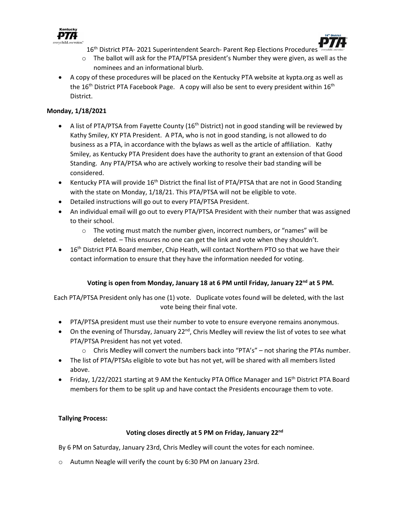



- 16<sup>th</sup> District PTA- 2021 Superintendent Search- Parent Rep Elections Procedures
- $\circ$  The ballot will ask for the PTA/PTSA president's Number they were given, as well as the nominees and an informational blurb.
- A copy of these procedures will be placed on the Kentucky PTA website at kypta.org as well as the  $16<sup>th</sup>$  District PTA Facebook Page. A copy will also be sent to every president within  $16<sup>th</sup>$ District.

# **Monday, 1/18/2021**

- A list of PTA/PTSA from Fayette County  $(16<sup>th</sup>$  District) not in good standing will be reviewed by Kathy Smiley, KY PTA President. A PTA, who is not in good standing, is not allowed to do business as a PTA, in accordance with the bylaws as well as the article of affiliation. Kathy Smiley, as Kentucky PTA President does have the authority to grant an extension of that Good Standing. Any PTA/PTSA who are actively working to resolve their bad standing will be considered.
- Kentucky PTA will provide  $16<sup>th</sup>$  District the final list of PTA/PTSA that are not in Good Standing with the state on Monday, 1/18/21. This PTA/PTSA will not be eligible to vote.
- Detailed instructions will go out to every PTA/PTSA President.
- An individual email will go out to every PTA/PTSA President with their number that was assigned to their school.
	- o The voting must match the number given, incorrect numbers, or "names" will be deleted. – This ensures no one can get the link and vote when they shouldn't.
- 16<sup>th</sup> District PTA Board member, Chip Heath, will contact Northern PTO so that we have their contact information to ensure that they have the information needed for voting.

## **Voting is open from Monday, January 18 at 6 PM until Friday, January 22nd at 5 PM.**

Each PTA/PTSA President only has one (1) vote. Duplicate votes found will be deleted, with the last vote being their final vote.

- PTA/PTSA president must use their number to vote to ensure everyone remains anonymous.
- On the evening of Thursday, January  $22^{nd}$ , Chris Medley will review the list of votes to see what PTA/PTSA President has not yet voted.
	- $\circ$  Chris Medley will convert the numbers back into "PTA's" not sharing the PTAs number.
- The list of PTA/PTSAs eligible to vote but has not yet, will be shared with all members listed above.
- Friday, 1/22/2021 starting at 9 AM the Kentucky PTA Office Manager and 16<sup>th</sup> District PTA Board members for them to be split up and have contact the Presidents encourage them to vote.

## **Tallying Process:**

## **Voting closes directly at 5 PM on Friday, January 22nd**

By 6 PM on Saturday, January 23rd, Chris Medley will count the votes for each nominee.

o Autumn Neagle will verify the count by 6:30 PM on January 23rd.